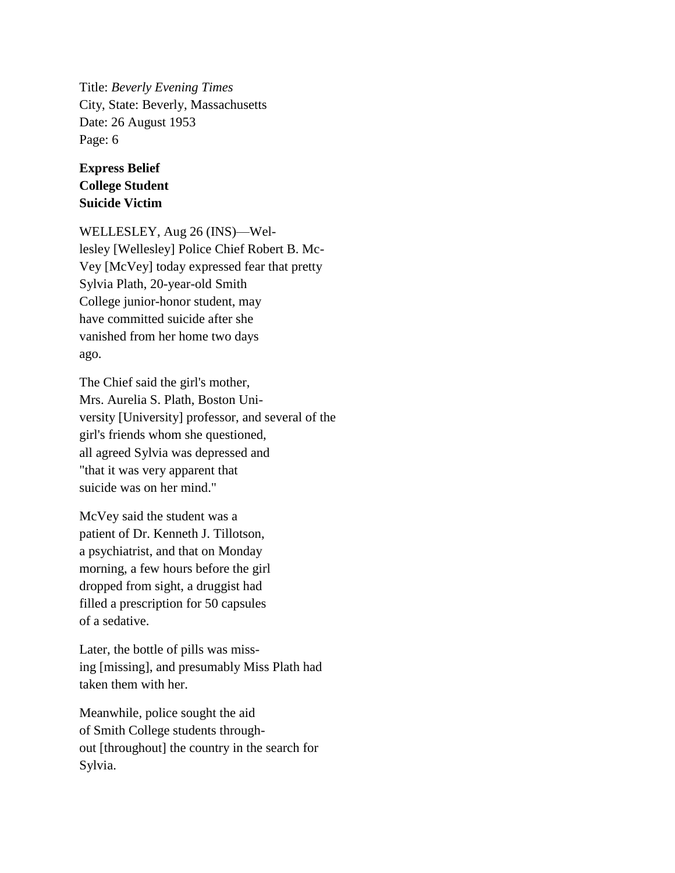Title: *Beverly Evening Times* City, State: Beverly, Massachusetts Date: 26 August 1953 Page: 6

## **Express Belief College Student Suicide Victim**

WELLESLEY, Aug 26 (INS)—Wellesley [Wellesley] Police Chief Robert B. Mc-Vey [McVey] today expressed fear that pretty Sylvia Plath, 20-year-old Smith College junior-honor student, may have committed suicide after she vanished from her home two days ago.

The Chief said the girl's mother, Mrs. Aurelia S. Plath, Boston University [University] professor, and several of the girl's friends whom she questioned, all agreed Sylvia was depressed and "that it was very apparent that suicide was on her mind."

McVey said the student was a patient of Dr. Kenneth J. Tillotson, a psychiatrist, and that on Monday morning, a few hours before the girl dropped from sight, a druggist had filled a prescription for 50 capsules of a sedative.

Later, the bottle of pills was missing [missing], and presumably Miss Plath had taken them with her.

Meanwhile, police sought the aid of Smith College students throughout [throughout] the country in the search for Sylvia.